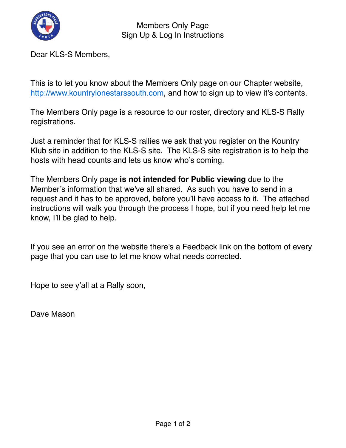

Members Only Page Sign Up & Log In Instructions

Dear KLS-S Members,

This is to let you know about the Members Only page on our Chapter website, [http://www.kountrylonestarssouth.com,](http://www.kountrylonestarssouth.com/) and how to sign up to view it's contents.

The Members Only page is a resource to our roster, directory and KLS-S Rally registrations.

Just a reminder that for KLS-S rallies we ask that you register on the Kountry Klub site in addition to the KLS-S site. The KLS-S site registration is to help the hosts with head counts and lets us know who's coming.

The Members Only page **is not intended for Public viewing** due to the Member's information that we've all shared. As such you have to send in a request and it has to be approved, before you'll have access to it. The attached instructions will walk you through the process I hope, but if you need help let me know, I'll be glad to help.

If you see an error on the website there's a Feedback link on the bottom of every page that you can use to let me know what needs corrected.

Hope to see y'all at a Rally soon,

Dave Mason